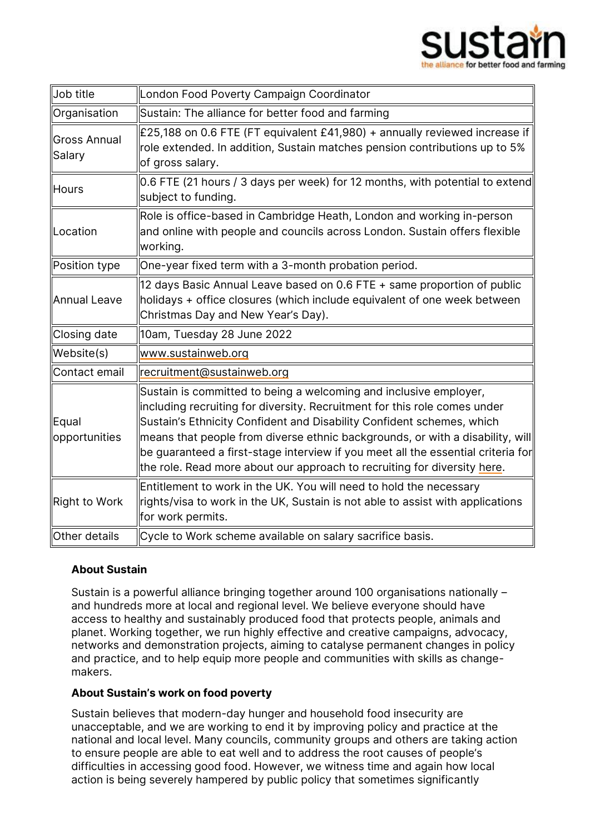

| Job title              | London Food Poverty Campaign Coordinator                                                                                                                                                                                                                                                                                                                                                                                                                                 |
|------------------------|--------------------------------------------------------------------------------------------------------------------------------------------------------------------------------------------------------------------------------------------------------------------------------------------------------------------------------------------------------------------------------------------------------------------------------------------------------------------------|
| Organisation           | Sustain: The alliance for better food and farming                                                                                                                                                                                                                                                                                                                                                                                                                        |
| Gross Annual<br>Salary | £25,188 on 0.6 FTE (FT equivalent £41,980) + annually reviewed increase if<br>role extended. In addition, Sustain matches pension contributions up to 5%<br>of gross salary.                                                                                                                                                                                                                                                                                             |
| Hours                  | 0.6 FTE (21 hours / 3 days per week) for 12 months, with potential to extend<br>subject to funding.                                                                                                                                                                                                                                                                                                                                                                      |
| Location               | Role is office-based in Cambridge Heath, London and working in-person<br>and online with people and councils across London. Sustain offers flexible<br>working.                                                                                                                                                                                                                                                                                                          |
| Position type          | One-year fixed term with a 3-month probation period.                                                                                                                                                                                                                                                                                                                                                                                                                     |
| Annual Leave           | 12 days Basic Annual Leave based on 0.6 FTE + same proportion of public<br>holidays + office closures (which include equivalent of one week between<br>Christmas Day and New Year's Day).                                                                                                                                                                                                                                                                                |
| Closing date           | 10am, Tuesday 28 June 2022                                                                                                                                                                                                                                                                                                                                                                                                                                               |
| Website(s)             | www.sustainweb.org                                                                                                                                                                                                                                                                                                                                                                                                                                                       |
| Contact email          | recruitment@sustainweb.org                                                                                                                                                                                                                                                                                                                                                                                                                                               |
| Equal<br>opportunities | Sustain is committed to being a welcoming and inclusive employer,<br>including recruiting for diversity. Recruitment for this role comes under<br>Sustain's Ethnicity Confident and Disability Confident schemes, which<br>means that people from diverse ethnic backgrounds, or with a disability, will<br>be guaranteed a first-stage interview if you meet all the essential criteria for<br>the role. Read more about our approach to recruiting for diversity here. |
| Right to Work          | Entitlement to work in the UK. You will need to hold the necessary<br>rights/visa to work in the UK, Sustain is not able to assist with applications<br>for work permits.                                                                                                                                                                                                                                                                                                |
| Other details          | Cycle to Work scheme available on salary sacrifice basis.                                                                                                                                                                                                                                                                                                                                                                                                                |

# About Sustain

Sustain is a powerful alliance bringing together around 100 organisations nationally – and hundreds more at local and regional level. We believe everyone should have access to healthy and sustainably produced food that protects people, animals and planet. Working together, we run highly effective and creative campaigns, advocacy, networks and demonstration projects, aiming to catalyse permanent changes in policy and practice, and to help equip more people and communities with skills as changemakers.

# About Sustain's work on food poverty

Sustain believes that modern-day hunger and household food insecurity are unacceptable, and we are working to end it by improving policy and practice at the national and local level. Many councils, community groups and others are taking action to ensure people are able to eat well and to address the root causes of people's difficulties in accessing good food. However, we witness time and again how local action is being severely hampered by public policy that sometimes significantly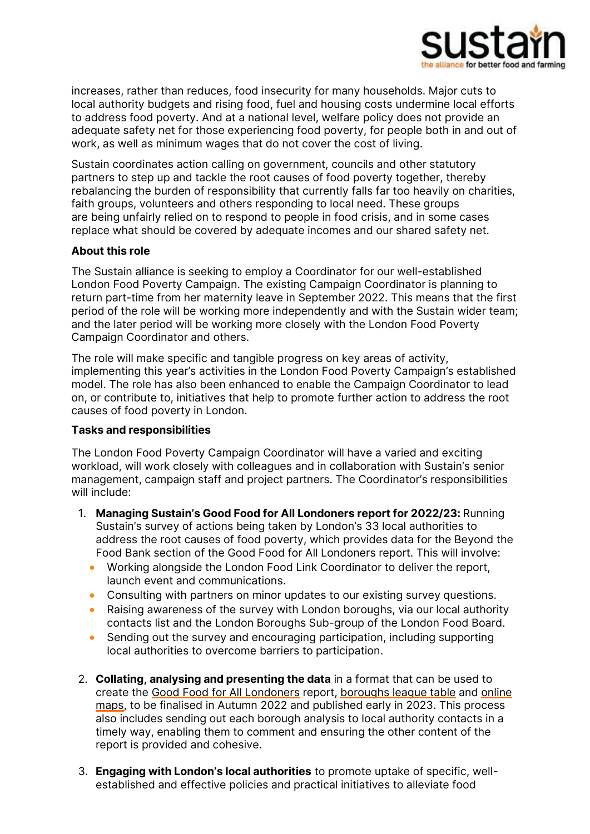

increases, rather than reduces, food insecurity for many households. Major cuts to local authority budgets and rising food, fuel and housing costs undermine local efforts to address food poverty. And at a national level, welfare policy does not provide an adequate safety net for those experiencing food poverty, for people both in and out of work, as well as minimum wages that do not cover the cost of living.

Sustain coordinates action calling on government, councils and other statutory partners to step up and tackle the root causes of food poverty together, thereby rebalancing the burden of responsibility that currently falls far too heavily on charities, faith groups, volunteers and others responding to local need. These groups are being unfairly relied on to respond to people in food crisis, and in some cases replace what should be covered by adequate incomes and our shared safety net.

### About this role

The Sustain alliance is seeking to employ a Coordinator for our well-established London Food Poverty Campaign. The existing Campaign Coordinator is planning to return part-time from her maternity leave in September 2022. This means that the first period of the role will be working more independently and with the Sustain wider team; and the later period will be working more closely with the London Food Poverty Campaign Coordinator and others.

The role will make specific and tangible progress on key areas of activity, implementing this year's activities in the London Food Poverty Campaign's established model. The role has also been enhanced to enable the Campaign Coordinator to lead on, or contribute to, initiatives that help to promote further action to address the root causes of food poverty in London.

#### Tasks and responsibilities

The London Food Poverty Campaign Coordinator will have a varied and exciting workload, will work closely with colleagues and in collaboration with Sustain's senior management, campaign staff and project partners. The Coordinator's responsibilities will include:

- 1. Managing Sustain's Good Food for All Londoners report for 2022/23: Running Sustain's survey of actions being taken by London's 33 local authorities to address the root causes of food poverty, which provides data for the Beyond the Food Bank section of the Good Food for All Londoners report. This will involve:
	- Working alongside the London Food Link Coordinator to deliver the report, launch event and communications.
	- Consulting with partners on minor updates to our existing survey questions.
	- Raising awareness of the survey with London boroughs, via our local authority contacts list and the London Boroughs Sub-group of the London Food Board.
	- Sending out the survey and encouraging participation, including supporting local authorities to overcome barriers to participation.
- 2. Collating, analysing and presenting the data in a format that can be used to create the [Good Food for All Londoners](https://www.sustainweb.org/good-food-for-all-londoners/) report, [boroughs league table](https://www.sustainweb.org/good-food-for-all-londoners/?m=0&b=0&y=2021&t=2&v=1) and [online](https://www.sustainweb.org/good-food-for-all-londoners/?m=1&b=0&y=2021&t=1&v=2)  [maps,](https://www.sustainweb.org/good-food-for-all-londoners/?m=1&b=0&y=2021&t=1&v=2) to be finalised in Autumn 2022 and published early in 2023. This process also includes sending out each borough analysis to local authority contacts in a timely way, enabling them to comment and ensuring the other content of the report is provided and cohesive.
- 3. Engaging with London's local authorities to promote uptake of specific, wellestablished and effective policies and practical initiatives to alleviate food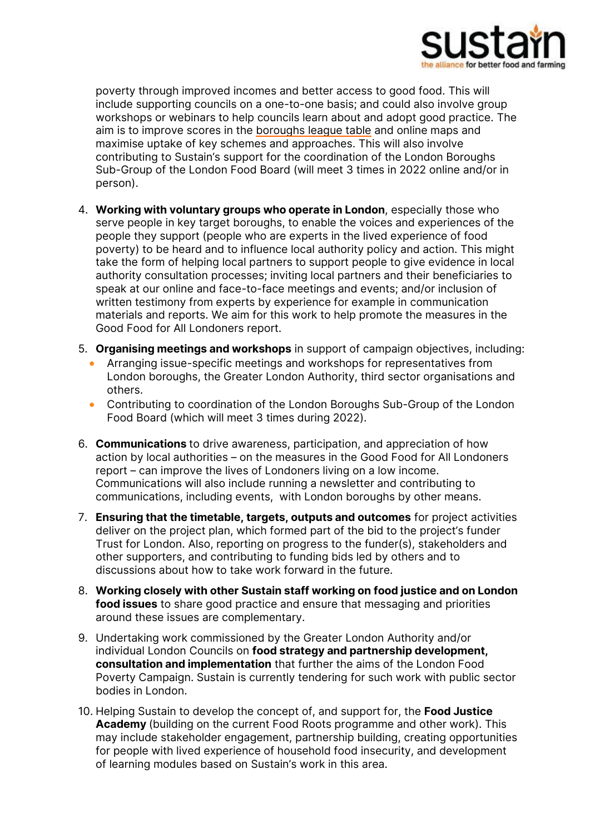

poverty through improved incomes and better access to good food. This will include supporting councils on a one-to-one basis; and could also involve group workshops or webinars to help councils learn about and adopt good practice. The aim is to improve scores in the [boroughs league table](https://www.sustainweb.org/good-food-for-all-londoners/?m=0&b=0&y=2021&t=2&v=1) and online maps and maximise uptake of key schemes and approaches. This will also involve contributing to Sustain's support for the coordination of the London Boroughs Sub-Group of the London Food Board (will meet 3 times in 2022 online and/or in person).

- 4. Working with voluntary groups who operate in London, especially those who serve people in key target boroughs, to enable the voices and experiences of the people they support (people who are experts in the lived experience of food poverty) to be heard and to influence local authority policy and action. This might take the form of helping local partners to support people to give evidence in local authority consultation processes; inviting local partners and their beneficiaries to speak at our online and face-to-face meetings and events; and/or inclusion of written testimony from experts by experience for example in communication materials and reports. We aim for this work to help promote the measures in the Good Food for All Londoners report.
- 5. Organising meetings and workshops in support of campaign objectives, including:
	- Arranging issue-specific meetings and workshops for representatives from London boroughs, the Greater London Authority, third sector organisations and others.
	- Contributing to coordination of the London Boroughs Sub-Group of the London Food Board (which will meet 3 times during 2022).
- 6. Communications to drive awareness, participation, and appreciation of how action by local authorities – on the measures in the Good Food for All Londoners report – can improve the lives of Londoners living on a low income. Communications will also include running a newsletter and contributing to communications, including events, with London boroughs by other means.
- 7. Ensuring that the timetable, targets, outputs and outcomes for project activities deliver on the project plan, which formed part of the bid to the project's funder Trust for London. Also, reporting on progress to the funder(s), stakeholders and other supporters, and contributing to funding bids led by others and to discussions about how to take work forward in the future.
- 8. Working closely with other Sustain staff working on food justice and on London food issues to share good practice and ensure that messaging and priorities around these issues are complementary.
- 9. Undertaking work commissioned by the Greater London Authority and/or individual London Councils on food strategy and partnership development, consultation and implementation that further the aims of the London Food Poverty Campaign. Sustain is currently tendering for such work with public sector bodies in London.
- 10. Helping Sustain to develop the concept of, and support for, the Food Justice Academy (building on the current Food Roots programme and other work). This may include stakeholder engagement, partnership building, creating opportunities for people with lived experience of household food insecurity, and development of learning modules based on Sustain's work in this area.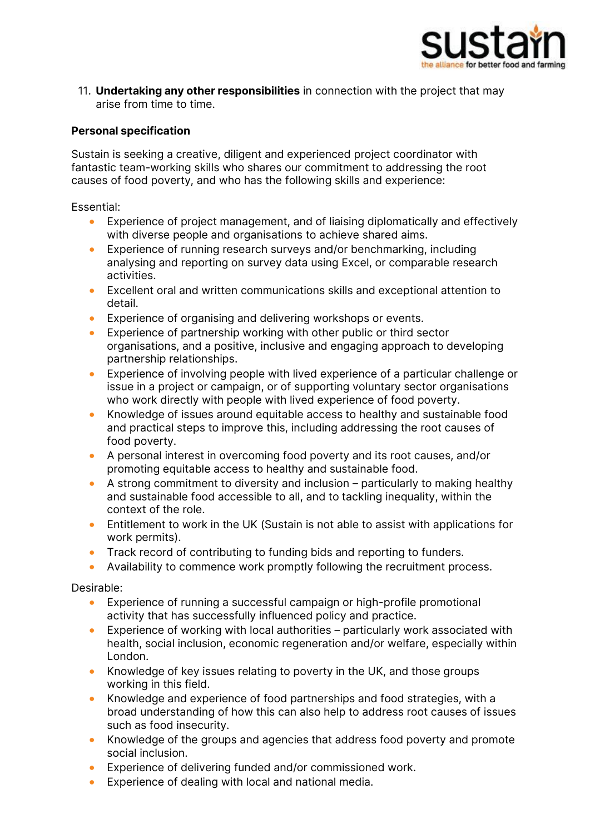

11. Undertaking any other responsibilities in connection with the project that may arise from time to time.

#### Personal specification

Sustain is seeking a creative, diligent and experienced project coordinator with fantastic team-working skills who shares our commitment to addressing the root causes of food poverty, and who has the following skills and experience:

Essential:

- Experience of project management, and of liaising diplomatically and effectively with diverse people and organisations to achieve shared aims.
- Experience of running research surveys and/or benchmarking, including analysing and reporting on survey data using Excel, or comparable research activities.
- Excellent oral and written communications skills and exceptional attention to detail.
- Experience of organising and delivering workshops or events.
- Experience of partnership working with other public or third sector organisations, and a positive, inclusive and engaging approach to developing partnership relationships.
- Experience of involving people with lived experience of a particular challenge or issue in a project or campaign, or of supporting voluntary sector organisations who work directly with people with lived experience of food poverty.
- Knowledge of issues around equitable access to healthy and sustainable food and practical steps to improve this, including addressing the root causes of food poverty.
- A personal interest in overcoming food poverty and its root causes, and/or promoting equitable access to healthy and sustainable food.
- A strong commitment to diversity and inclusion particularly to making healthy and sustainable food accessible to all, and to tackling inequality, within the context of the role.
- Entitlement to work in the UK (Sustain is not able to assist with applications for work permits).
- Track record of contributing to funding bids and reporting to funders.
- Availability to commence work promptly following the recruitment process.

Desirable:

- Experience of running a successful campaign or high-profile promotional activity that has successfully influenced policy and practice.
- Experience of working with local authorities particularly work associated with health, social inclusion, economic regeneration and/or welfare, especially within London.
- Knowledge of key issues relating to poverty in the UK, and those groups working in this field.
- Knowledge and experience of food partnerships and food strategies, with a broad understanding of how this can also help to address root causes of issues such as food insecurity.
- Knowledge of the groups and agencies that address food poverty and promote social inclusion.
- Experience of delivering funded and/or commissioned work.
- Experience of dealing with local and national media.